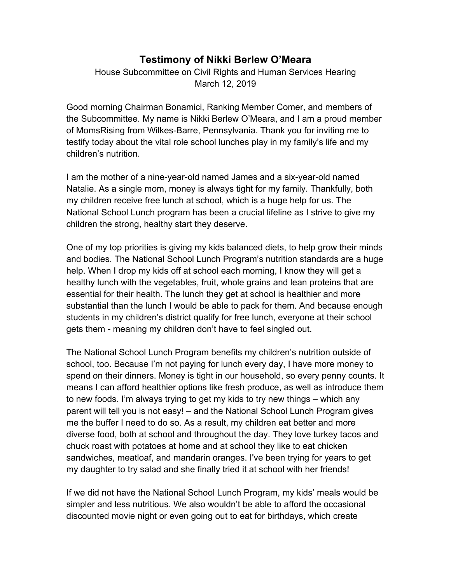## **Testimony of Nikki Berlew O'Meara**

House Subcommittee on Civil Rights and Human Services Hearing March 12, 2019

Good morning Chairman Bonamici, Ranking Member Comer, and members of the Subcommittee. My name is Nikki Berlew O'Meara, and I am a proud member of MomsRising from Wilkes-Barre, Pennsylvania. Thank you for inviting me to testify today about the vital role school lunches play in my family's life and my children's nutrition.

I am the mother of a nine-year-old named James and a six-year-old named Natalie. As a single mom, money is always tight for my family. Thankfully, both my children receive free lunch at school, which is a huge help for us. The National School Lunch program has been a crucial lifeline as I strive to give my children the strong, healthy start they deserve.

One of my top priorities is giving my kids balanced diets, to help grow their minds and bodies. The National School Lunch Program's nutrition standards are a huge help. When I drop my kids off at school each morning, I know they will get a healthy lunch with the vegetables, fruit, whole grains and lean proteins that are essential for their health. The lunch they get at school is healthier and more substantial than the lunch I would be able to pack for them. And because enough students in my children's district qualify for free lunch, everyone at their school gets them - meaning my children don't have to feel singled out.

The National School Lunch Program benefits my children's nutrition outside of school, too. Because I'm not paying for lunch every day, I have more money to spend on their dinners. Money is tight in our household, so every penny counts. It means I can afford healthier options like fresh produce, as well as introduce them to new foods. I'm always trying to get my kids to try new things – which any parent will tell you is not easy! – and the National School Lunch Program gives me the buffer I need to do so. As a result, my children eat better and more diverse food, both at school and throughout the day. They love turkey tacos and chuck roast with potatoes at home and at school they like to eat chicken sandwiches, meatloaf, and mandarin oranges. I've been trying for years to get my daughter to try salad and she finally tried it at school with her friends!

If we did not have the National School Lunch Program, my kids' meals would be simpler and less nutritious. We also wouldn't be able to afford the occasional discounted movie night or even going out to eat for birthdays, which create